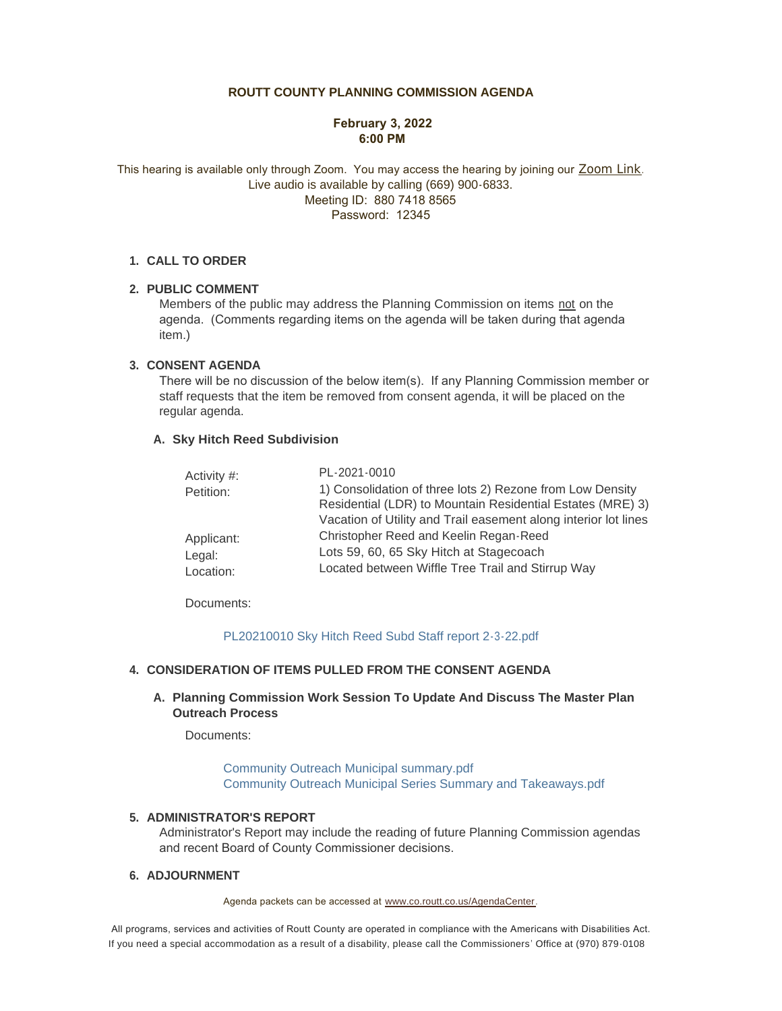# **ROUTT COUNTY PLANNING COMMISSION AGENDA**

## **February 3, 2022 6:00 PM**

This hearing is available only through Zoom. You may access the hearing by joining our [Zoom Link](https://us02web.zoom.us/j/88074188565?pwd=VTM0RjZpLzBXRWoyMEdFRkRwNG5kdz09). Live audio is available by calling (669) 900-6833. Meeting ID: 880 7418 8565 Password: 12345

### **CALL TO ORDER 1.**

## **PUBLIC COMMENT 2.**

Members of the public may address the Planning Commission on items not on the agenda. (Comments regarding items on the agenda will be taken during that agenda item.)

#### **CONSENT AGENDA 3.**

There will be no discussion of the below item(s). If any Planning Commission member or staff requests that the item be removed from consent agenda, it will be placed on the regular agenda.

#### **Sky Hitch Reed Subdivision A.**

| Activity #: | PL-2021-0010                                                    |
|-------------|-----------------------------------------------------------------|
| Petition:   | 1) Consolidation of three lots 2) Rezone from Low Density       |
|             | Residential (LDR) to Mountain Residential Estates (MRE) 3)      |
|             | Vacation of Utility and Trail easement along interior lot lines |
| Applicant:  | Christopher Reed and Keelin Regan-Reed                          |
| Legal:      | Lots 59, 60, 65 Sky Hitch at Stagecoach                         |
| Location:   | Located between Wiffle Tree Trail and Stirrup Way               |

Documents:

#### [PL20210010 Sky Hitch Reed Subd Staff report 2-3-22.pdf](http://co.routt.co.us/AgendaCenter/ViewFile/Item/18028?fileID=15957)

## **CONSIDERATION OF ITEMS PULLED FROM THE CONSENT AGENDA 4.**

## **Planning Commission Work Session To Update And Discuss The Master Plan A. Outreach Process**

Documents:

[Community Outreach Municipal summary.pdf](http://co.routt.co.us/AgendaCenter/ViewFile/Item/18031?fileID=15958) [Community Outreach Municipal Series Summary and Takeaways.pdf](http://co.routt.co.us/AgendaCenter/ViewFile/Item/18031?fileID=15959)

#### **ADMINISTRATOR'S REPORT 5.**

Administrator's Report may include the reading of future Planning Commission agendas and recent Board of County Commissioner decisions.

#### **ADJOURNMENT 6.**

Agenda packets can be accessed at [www.co.routt.co.us/AgendaCenter.](http://www.co.routt.co.us/AgendaCenter)

 All programs, services and activities of Routt County are operated in compliance with the Americans with Disabilities Act. If you need a special accommodation as a result of a disability, please call the Commissioners ' Office at (970) 879-0108